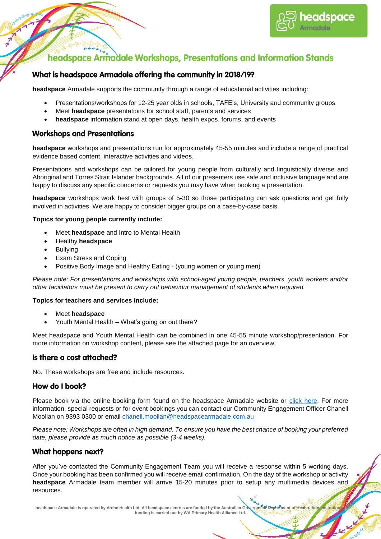

# **Constitution of the Constitution of the Constitution Stands**<br>The adspace Armadale Workshops, Presentations and Information Stands

## What is headspace Armadale offering the community in 2018/19?

**headspace** Armadale supports the community through a range of educational activities including:

- Presentations/workshops for 12-25 year olds in schools, TAFE's, University and community groups
- Meet **headspace** presentations for school staff, parents and services
- **headspace** information stand at open days, health expos, forums, and events

#### **Workshops and Presentations**

**headspace** workshops and presentations run for approximately 45-55 minutes and include a range of practical evidence based content, interactive activities and videos.

Presentations and workshops can be tailored for young people from culturally and linguistically diverse and Aboriginal and Torres Strait Islander backgrounds. All of our presenters use safe and inclusive language and are happy to discuss any specific concerns or requests you may have when booking a presentation.

**headspace** workshops work best with groups of 5-30 so those participating can ask questions and get fully involved in activities. We are happy to consider bigger groups on a case-by-case basis.

#### **Topics for young people currently include:**

- Meet **headspace** and Intro to Mental Health
- Healthy **headspace**
- Bullying
- Exam Stress and Coping
- Positive Body Image and Healthy Eating (young women or young men)

*Please note: For presentations and workshops with school-aged young people, teachers, youth workers and/or other facilitators must be present to carry out behaviour management of students when required.*

#### **Topics for teachers and services include:**

- Meet **headspace**
- Youth Mental Health What's going on out there?

Meet headspace and Youth Mental Health can be combined in one 45-55 minute workshop/presentation. For more information on workshop content, please see the attached page for an overview.

#### Is there a cost attached?

No. These workshops are free and include resources.

#### How do I book?

Please book via the online booking form found on the headspace Armadale website or [click here.](https://form.jotform.co/71581183532859) For more information, special requests or for event bookings you can contact our Community Engagement Officer Chanell Moollan on 9393 0300 or email [chanell.moollan@headspacearmadale.com.au](mailto:chanell.moollan@headspacearmadale.com.au)

*Please note: Workshops are often in high demand. To ensure you have the best chance of booking your preferred date, please provide as much notice as possible (3-4 weeks).*

#### **What happens next?**

After you've contacted the Community Engagement Team you will receive a response within 5 working days. Once your booking has been confirmed you will receive email confirmation. On the day of the workshop or activity **headspace** Armadale team member will arrive 15-20 minutes prior to setup any multimedia devices and resources.

headspace Armadale is operated by Arche Health Ltd. All headspace centres are funded by the Australian Government Pepartment of Health. Administration **funding is carried out by WA Primary Health Alliance Ltd.**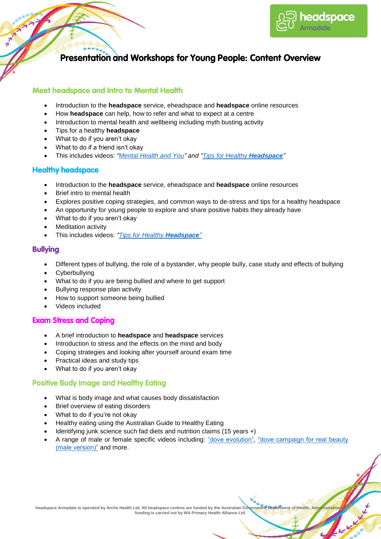

## Presentation and Workshops for Young People: Content Overview

#### **Meet headspace and Intro to Mental Health**

- Introduction to the **headspace** service, eheadspace and **headspace** online resources
- How **headspace** can help, how to refer and what to expect at a centre
- Introduction to mental health and wellbeing including myth busting activity
- Tips for a healthy **headspace**

 $6533$ 

- What to do if you aren't okay
- What to do if a friend isn't okay
- This includes videos: *["Mental Health and You"](https://www.youtube.com/watch?v=gtUGVzEUy5A&t=6s) and ["Tips for Healthy](https://www.youtube.com/watch?v=RKRC4830aao) Headspace"*

#### **Healthy headspace**

- Introduction to the **headspace** service, eheadspace and **headspace** online resources
- Brief intro to mental health
- Explores positive coping strategies, and common ways to de-stress and tips for a healthy headspace
- An opportunity for young people to explore and share positive habits they already have
- What to do if you aren't okay
- Meditation activity
- This includes videos: *["Tips for Healthy](https://www.youtube.com/watch?v=RKRC4830aao) Headspace"*

#### **Bullvina**

- Different types of bullying, the role of a bystander, why people bully, case study and effects of bullying
- Cyberbullying
- What to do if you are being bullied and where to get support
- Bullying response plan activity
- How to support someone being bullied
- Videos included

#### **Exam Stress and Coping**

- A brief introduction to **headspace** and **headspace** services
- Introduction to stress and the effects on the mind and body
- Coping strategies and looking after yourself around exam time
- Practical ideas and study tips
- What to do if you aren't okay

#### **Positive Body Image and Healthy Eating**

- What is body image and what causes body dissatisfaction
- Brief overview of eating disorders
- What to do if you're not okay
- Healthy eating using the Australian Guide to Healthy Eating
- Identifying junk science such fad diets and nutrition claims (15 years +)
- A range of male or female specific videos including: ["dove evolution",](https://www.youtube.com/watch?v=iYhCn0jf46U) ["dove campaign for real beauty](dove%20campaign%20for%20real%20beauty%20(male%20version))  [\(male version\)"](dove%20campaign%20for%20real%20beauty%20(male%20version)) and more.